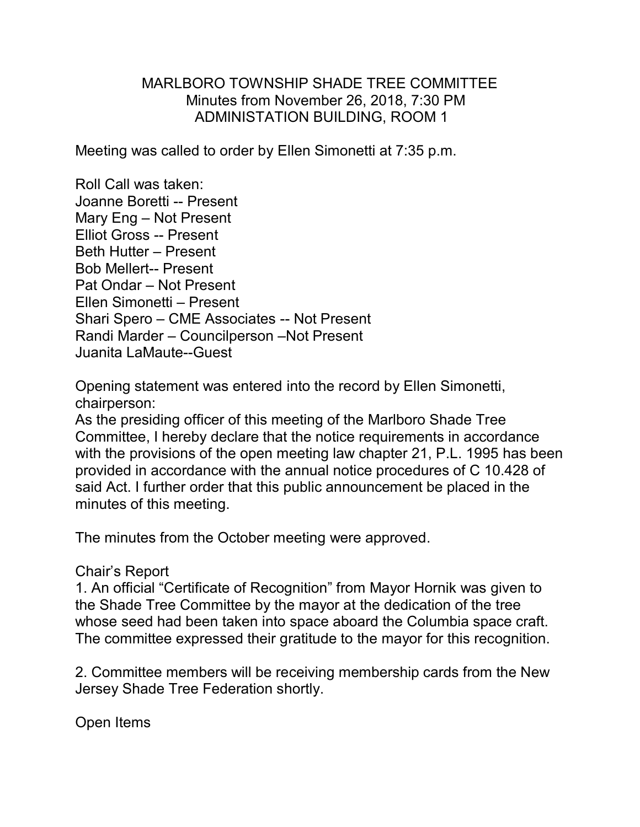## MARLBORO TOWNSHIP SHADE TREE COMMITTEE Minutes from November 26, 2018, 7:30 PM ADMINISTATION BUILDING, ROOM 1

Meeting was called to order by Ellen Simonetti at 7:35 p.m.

Roll Call was taken: Joanne Boretti -- Present Mary Eng – Not Present Elliot Gross -- Present Beth Hutter – Present Bob Mellert-- Present Pat Ondar – Not Present Ellen Simonetti – Present Shari Spero – CME Associates -- Not Present Randi Marder – Councilperson –Not Present Juanita LaMaute--Guest

Opening statement was entered into the record by Ellen Simonetti, chairperson:

As the presiding officer of this meeting of the Marlboro Shade Tree Committee, I hereby declare that the notice requirements in accordance with the provisions of the open meeting law chapter 21, P.L. 1995 has been provided in accordance with the annual notice procedures of C 10.428 of said Act. I further order that this public announcement be placed in the minutes of this meeting.

The minutes from the October meeting were approved.

## Chair's Report

1. An official "Certificate of Recognition" from Mayor Hornik was given to the Shade Tree Committee by the mayor at the dedication of the tree whose seed had been taken into space aboard the Columbia space craft. The committee expressed their gratitude to the mayor for this recognition.

2. Committee members will be receiving membership cards from the New Jersey Shade Tree Federation shortly.

Open Items